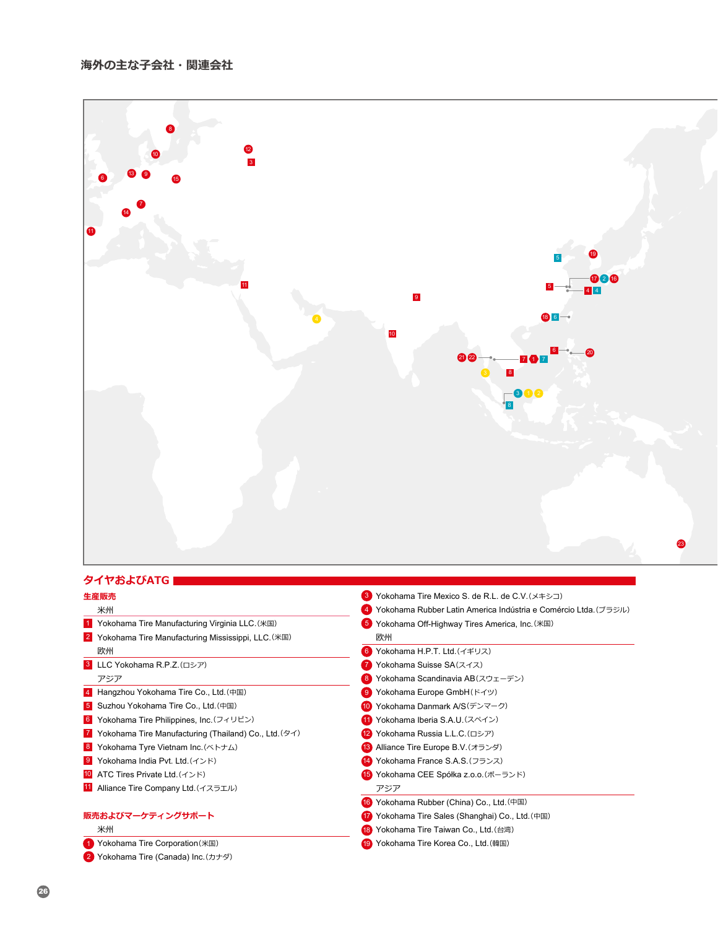

- Yokohama Tire Manufacturing (Thailand) Co., Ltd.(タイ)
- Yokohama Tyre Vietnam Inc.(ベトナム)
- Yokohama India Pvt. Ltd.(インド)
- ATC Tires Private Ltd.(インド)
- 11 Alliance Tire Company Ltd. (イスラエル)

## **販売およびマーケティングサポート** 米州

- Yokohama Tire Corporation(米国)
- Yokohama Tire (Canada) Inc.(カナダ)
- Yokohama Iberia S.A.U.(スペイン) Yokohama Russia L.L.C.(ロシア) Alliance Tire Europe B.V.(オランダ) Yokohama France S.A.S.(フランス) Yokohama CEE Spółka z.o.o.(ポーランド) Yokohama Rubber (China) Co., Ltd.(中国) Yokohama Tire Sales (Shanghai) Co., Ltd.(中国) アジア
- 18 Yokohama Tire Taiwan Co., Ltd. (台湾)
- Yokohama Tire Korea Co., Ltd.(韓国)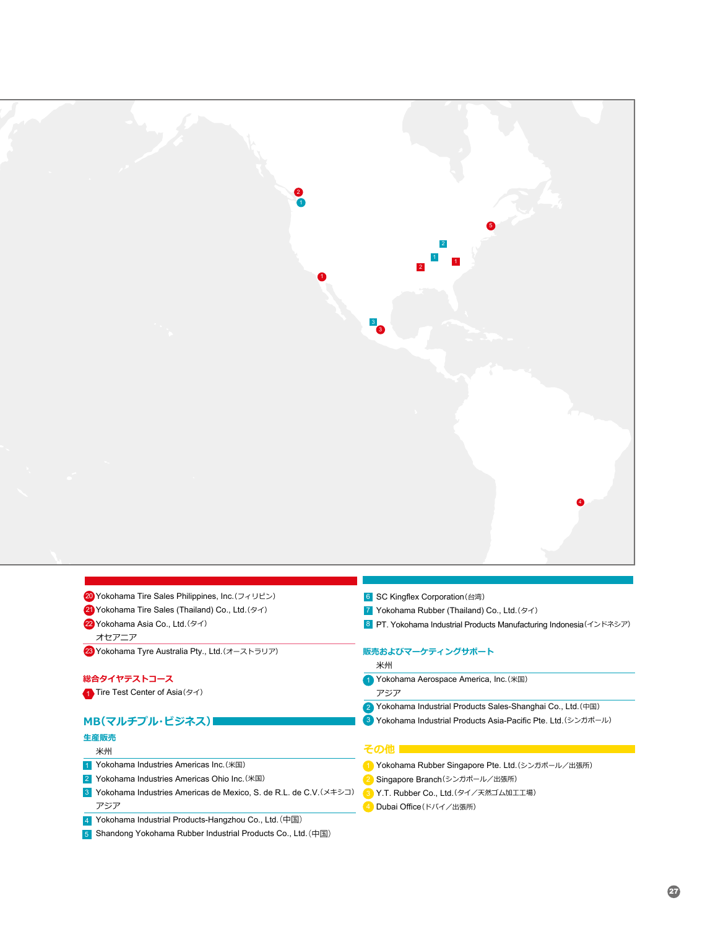

|  |  | 20 Yokohama Tire Sales Philippines, Inc. (フィリピン) |
|--|--|--------------------------------------------------|
|  |  |                                                  |

21 Yokohama Tire Sales (Thailand) Co., Ltd.(タイ)

22 Yokohama Asia Co., Ltd.(タイ)

オセアニア

23 Yokohama Tyre Australia Pty., Ltd.(オーストラリア)

### **総合タイヤテストコース**

1 Tire Test Center of Asia(タイ)

# **MB(マルチプル・ビジネス)**

### **生産販売** 米州

1 Yokohama Industries Americas Inc.(米国)

- 2 Yokohama Industries Americas Ohio Inc. (米国)
- 3 Yokohama Industries Americas de Mexico, S. de R.L. de C.V.(メキシコ) アジア
- 4 Yokohama Industrial Products-Hangzhou Co., Ltd.(中国)
- 5 Shandong Yokohama Rubber Industrial Products Co., Ltd.(中国)
- 6 SC Kingflex Corporation(台湾)
- Yokohama Rubber (Thailand) Co., Ltd.(タイ) 7
- PT. Yokohama Industrial Products Manufacturing Indonesia(インドネシア) 8

#### **販売およびマーケティングサポート**

米州

- Yokohama Aerospace America, Inc.(米国) 1 アジア
- 2 Yokohama Industrial Products Sales-Shanghai Co., Ltd. (中国)
- Yokohama Industrial Products Asia-Pacific Pte. Ltd.(シンガポール) 3

#### **その他**

- 1 Yokohama Rubber Singapore Pte. Ltd.(シンガポール/出張所)
- <mark>2</mark> Singapore Branch(シンガポール/出張所)
- <mark>3)</mark>Y.T. Rubber Co., Ltd.(タイ/天然ゴム加工工場)
- 4 Dubai Office (ドバイ/出張所)